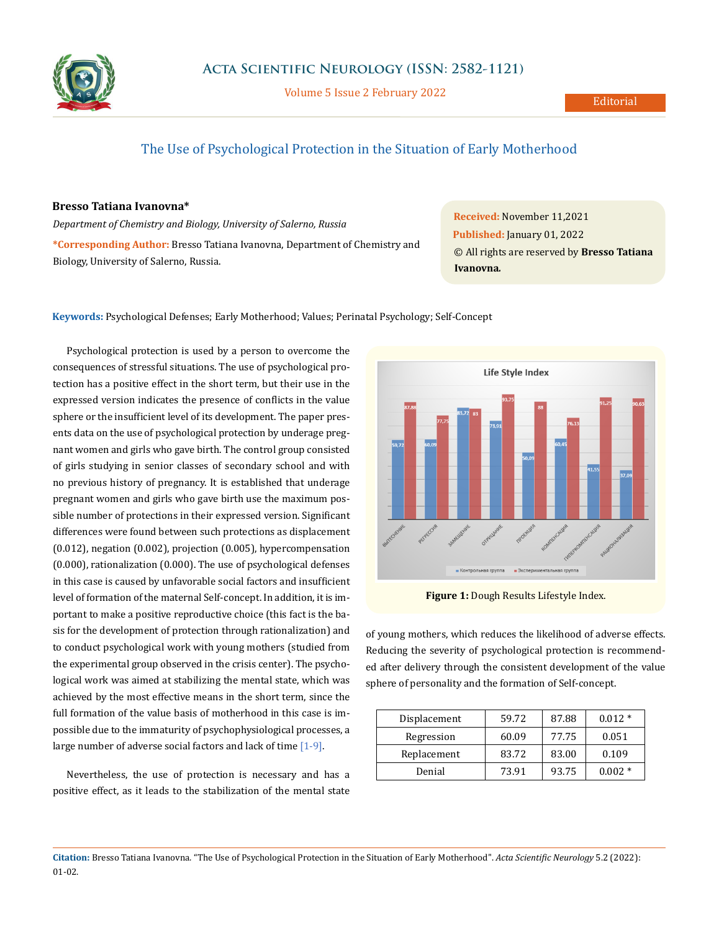

Volume 5 Issue 2 February 2022

# The Use of Psychological Protection in the Situation of Early Motherhood

## **Bresso Tatiana Ivanovna\***

*Department of Chemistry and Biology, University of Salerno, Russia* **\*Corresponding Author:** Bresso Tatiana Ivanovna, Department of Chemistry and Biology, University of Salerno, Russia.

**Received:** November 11,2021 **Published:** January 01, 2022 © All rights are reserved by **Bresso Tatiana Ivanovna***.*

### **Keywords:** Psychological Defenses; Early Motherhood; Values; Perinatal Psychology; Self-Concept

Psychological protection is used by a person to overcome the consequences of stressful situations. The use of psychological protection has a positive effect in the short term, but their use in the expressed version indicates the presence of conflicts in the value sphere or the insufficient level of its development. The paper presents data on the use of psychological protection by underage pregnant women and girls who gave birth. The control group consisted of girls studying in senior classes of secondary school and with no previous history of pregnancy. It is established that underage pregnant women and girls who gave birth use the maximum possible number of protections in their expressed version. Significant differences were found between such protections as displacement (0.012), negation (0.002), projection (0.005), hypercompensation (0.000), rationalization (0.000). The use of psychological defenses in this case is caused by unfavorable social factors and insufficient level of formation of the maternal Self-concept. In addition, it is important to make a positive reproductive choice (this fact is the basis for the development of protection through rationalization) and to conduct psychological work with young mothers (studied from the experimental group observed in the crisis center). The psychological work was aimed at stabilizing the mental state, which was achieved by the most effective means in the short term, since the full formation of the value basis of motherhood in this case is impossible due to the immaturity of psychophysiological processes, a large number of adverse social factors and lack of time [1-9].

Nevertheless, the use of protection is necessary and has a positive effect, as it leads to the stabilization of the mental state



**Figure 1:** Dough Results Lifestyle Index.

of young mothers, which reduces the likelihood of adverse effects. Reducing the severity of psychological protection is recommended after delivery through the consistent development of the value sphere of personality and the formation of Self-concept.

| Displacement | 59.72 | 87.88 | $0.012*$ |
|--------------|-------|-------|----------|
| Regression   | 60.09 | 77.75 | 0.051    |
| Replacement  | 83.72 | 83.00 | 0.109    |
| Denial       | 73.91 | 93.75 | $0.002*$ |

**Citation:** Bresso Tatiana Ivanovna*.* "The Use of Psychological Protection in the Situation of Early Motherhood". *Acta Scientific Neurology* 5.2 (2022): 01-02.